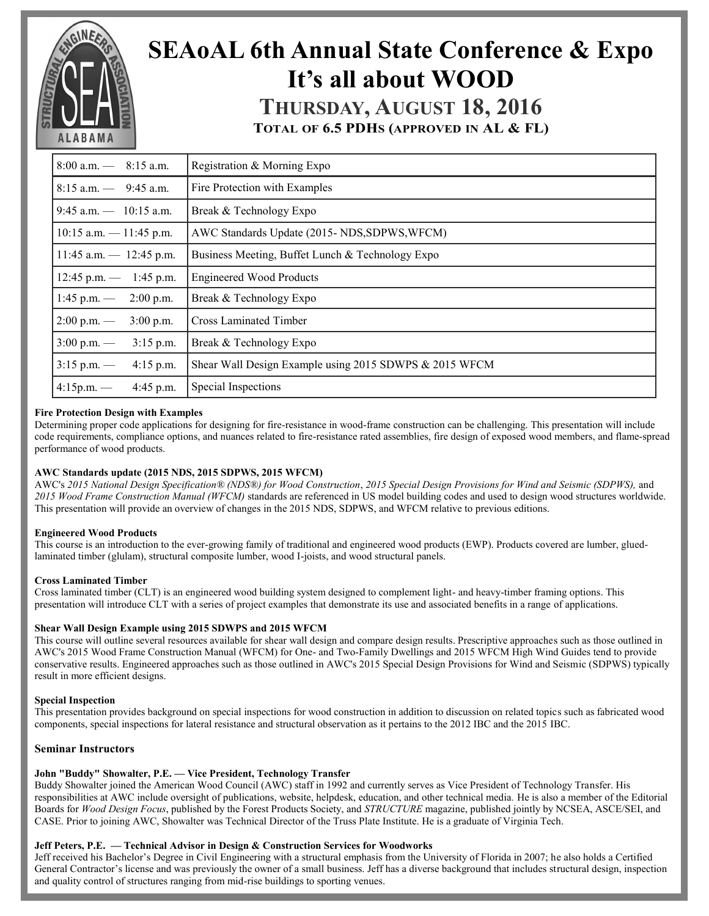

# **SEAoAL 6th Annual State Conference & Expo It's all about WOOD THURSDAY, AUGUST 18, 2016**

**TOTAL OF 6.5 PDHS (APPROVED IN AL & FL)**

| $8:00$ a.m. $-$ 8:15 a.m.            | Registration & Morning Expo                            |  |  |  |  |
|--------------------------------------|--------------------------------------------------------|--|--|--|--|
| $8:15$ a.m. $-$ 9:45 a.m.            | Fire Protection with Examples                          |  |  |  |  |
| $9:45$ a.m. $- 10:15$ a.m.           | Break & Technology Expo                                |  |  |  |  |
| $10:15$ a.m. $-11:45$ p.m.           | AWC Standards Update (2015-NDS, SDPWS, WFCM)           |  |  |  |  |
| $11:45$ a.m. $- 12:45$ p.m.          | Business Meeting, Buffet Lunch & Technology Expo       |  |  |  |  |
| $12:45$ p.m. $- 1:45$ p.m.           | <b>Engineered Wood Products</b>                        |  |  |  |  |
| $1:45$ p.m. $- 2:00$ p.m.            | Break & Technology Expo                                |  |  |  |  |
| $2:00 \text{ p.m.}$ —<br>$3:00$ p.m. | <b>Cross Laminated Timber</b>                          |  |  |  |  |
| $3:00 \text{ p.m.}$ —<br>$3:15$ p.m. | Break & Technology Expo                                |  |  |  |  |
| $3:15$ p.m. —<br>$4:15$ p.m.         | Shear Wall Design Example using 2015 SDWPS & 2015 WFCM |  |  |  |  |
| $4:15p.m.$ —<br>$4:45$ p.m.          | Special Inspections                                    |  |  |  |  |

## **Fire Protection Design with Examples**

Determining proper code applications for designing for fire-resistance in wood-frame construction can be challenging. This presentation will include code requirements, compliance options, and nuances related to fire-resistance rated assemblies, fire design of exposed wood members, and flame-spread performance of wood products.

## **AWC Standards update (2015 NDS, 2015 SDPWS, 2015 WFCM)**

AWC's *2015 National Design Specification® (NDS®) for Wood Construction*, *2015 Special Design Provisions for Wind and Seismic (SDPWS),* and *2015 Wood Frame Construction Manual (WFCM)* standards are referenced in US model building codes and used to design wood structures worldwide. This presentation will provide an overview of changes in the 2015 NDS, SDPWS, and WFCM relative to previous editions.

#### **Engineered Wood Products**

This course is an introduction to the ever-growing family of traditional and engineered wood products (EWP). Products covered are lumber, gluedlaminated timber (glulam), structural composite lumber, wood I-joists, and wood structural panels.

#### **Cross Laminated Timber**

Cross laminated timber (CLT) is an engineered wood building system designed to complement light- and heavy-timber framing options. This presentation will introduce CLT with a series of project examples that demonstrate its use and associated benefits in a range of applications.

#### **Shear Wall Design Example using 2015 SDWPS and 2015 WFCM**

This course will outline several resources available for shear wall design and compare design results. Prescriptive approaches such as those outlined in AWC's 2015 Wood Frame Construction Manual (WFCM) for One- and Two-Family Dwellings and 2015 WFCM High Wind Guides tend to provide conservative results. Engineered approaches such as those outlined in AWC's 2015 Special Design Provisions for Wind and Seismic (SDPWS) typically result in more efficient designs.

#### **Special Inspection**

This presentation provides background on special inspections for wood construction in addition to discussion on related topics such as fabricated wood components, special inspections for lateral resistance and structural observation as it pertains to the 2012 IBC and the 2015 IBC.

#### **Seminar Instructors**

#### **John "Buddy" Showalter, P.E. — Vice President, Technology Transfer**

Buddy Showalter joined the American Wood Council (AWC) staff in 1992 and currently serves as Vice President of Technology Transfer. His responsibilities at AWC include oversight of publications, website, helpdesk, education, and other technical media*.* He is also a member of the Editorial Boards for *Wood Design Focus*, published by the Forest Products Society, and *STRUCTURE* magazine, published jointly by NCSEA, ASCE/SEI, and CASE. Prior to joining AWC, Showalter was Technical Director of the Truss Plate Institute. He is a graduate of Virginia Tech.

#### **Jeff Peters, P.E. — Technical Advisor in Design & Construction Services for Woodworks**

Jeff received his Bachelor's Degree in Civil Engineering with a structural emphasis from the University of Florida in 2007; he also holds a Certified General Contractor's license and was previously the owner of a small business. Jeff has a diverse background that includes structural design, inspection and quality control of structures ranging from mid-rise buildings to sporting venues.